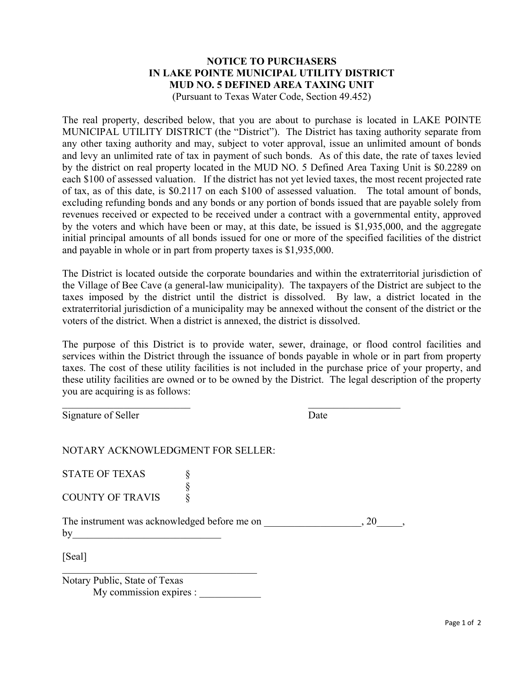## **NOTICE TO PURCHASERS IN LAKE POINTE MUNICIPAL UTILITY DISTRICT MUD NO. 5 DEFINED AREA TAXING UNIT**

(Pursuant to Texas Water Code, Section 49.452)

The real property, described below, that you are about to purchase is located in LAKE POINTE MUNICIPAL UTILITY DISTRICT (the "District"). The District has taxing authority separate from any other taxing authority and may, subject to voter approval, issue an unlimited amount of bonds and levy an unlimited rate of tax in payment of such bonds. As of this date, the rate of taxes levied by the district on real property located in the MUD NO. 5 Defined Area Taxing Unit is \$0.2289 on each \$100 of assessed valuation. If the district has not yet levied taxes, the most recent projected rate of tax, as of this date, is \$0.2117 on each \$100 of assessed valuation. The total amount of bonds, excluding refunding bonds and any bonds or any portion of bonds issued that are payable solely from revenues received or expected to be received under a contract with a governmental entity, approved by the voters and which have been or may, at this date, be issued is \$1,935,000, and the aggregate initial principal amounts of all bonds issued for one or more of the specified facilities of the district and payable in whole or in part from property taxes is \$1,935,000.

The District is located outside the corporate boundaries and within the extraterritorial jurisdiction of the Village of Bee Cave (a general-law municipality). The taxpayers of the District are subject to the taxes imposed by the district until the district is dissolved. By law, a district located in the extraterritorial jurisdiction of a municipality may be annexed without the consent of the district or the voters of the district. When a district is annexed, the district is dissolved.

The purpose of this District is to provide water, sewer, drainage, or flood control facilities and services within the District through the issuance of bonds payable in whole or in part from property taxes. The cost of these utility facilities is not included in the purchase price of your property, and these utility facilities are owned or to be owned by the District. The legal description of the property you are acquiring is as follows:

Signature of Seller Date

NOTARY ACKNOWLEDGMENT FOR SELLER:

§

STATE OF TEXAS  $\S$ COUNTY OF TRAVIS

The instrument was acknowledged before me on  $\qquad \qquad , 20 \qquad ,$  $by$ 

[Seal]

Notary Public, State of Texas My commission expires :